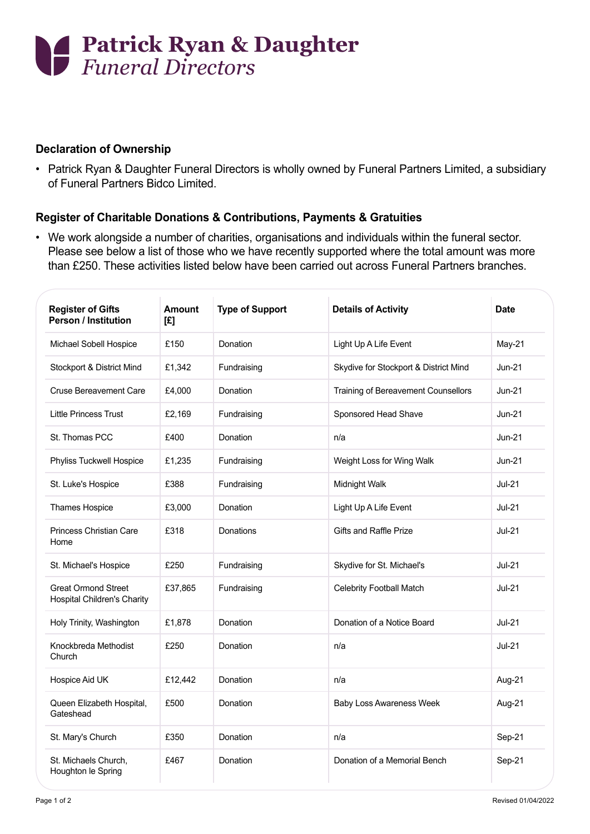

## **Declaration of Ownership**

• Patrick Ryan & Daughter Funeral Directors is wholly owned by Funeral Partners Limited, a subsidiary of Funeral Partners Bidco Limited.

## **Register of Charitable Donations & Contributions, Payments & Gratuities**

• We work alongside a number of charities, organisations and individuals within the funeral sector. Please see below a list of those who we have recently supported where the total amount was more than £250. These activities listed below have been carried out across Funeral Partners branches.

| <b>Register of Gifts</b><br><b>Person / Institution</b>          | <b>Amount</b><br>[£] | <b>Type of Support</b> | <b>Details of Activity</b>            | <b>Date</b>   |
|------------------------------------------------------------------|----------------------|------------------------|---------------------------------------|---------------|
| Michael Sobell Hospice                                           | £150                 | Donation               | Light Up A Life Event                 | $May-21$      |
| Stockport & District Mind                                        | £1,342               | Fundraising            | Skydive for Stockport & District Mind | $Jun-21$      |
| <b>Cruse Bereavement Care</b>                                    | £4,000               | Donation               | Training of Bereavement Counsellors   | $Jun-21$      |
| <b>Little Princess Trust</b>                                     | £2,169               | Fundraising            | Sponsored Head Shave                  | $Jun-21$      |
| St. Thomas PCC                                                   | £400                 | Donation               | n/a                                   | <b>Jun-21</b> |
| Phyliss Tuckwell Hospice                                         | £1,235               | Fundraising            | Weight Loss for Wing Walk             | Jun-21        |
| St. Luke's Hospice                                               | £388                 | Fundraising            | Midnight Walk                         | $Jul-21$      |
| Thames Hospice                                                   | £3,000               | Donation               | Light Up A Life Event                 | $Jul-21$      |
| <b>Princess Christian Care</b><br>Home                           | £318                 | Donations              | Gifts and Raffle Prize                | $Jul-21$      |
| St. Michael's Hospice                                            | £250                 | Fundraising            | Skydive for St. Michael's             | $Jul-21$      |
| <b>Great Ormond Street</b><br><b>Hospital Children's Charity</b> | £37,865              | Fundraising            | Celebrity Football Match              | <b>Jul-21</b> |
| Holy Trinity, Washington                                         | £1,878               | Donation               | Donation of a Notice Board            | $Jul-21$      |
| Knockbreda Methodist<br>Church                                   | £250                 | Donation               | n/a                                   | $Jul-21$      |
| Hospice Aid UK                                                   | £12,442              | Donation               | n/a                                   | Aug-21        |
| Queen Elizabeth Hospital,<br>Gateshead                           | £500                 | Donation               | <b>Baby Loss Awareness Week</b>       | Aug-21        |
| St. Mary's Church                                                | £350                 | Donation               | n/a                                   | Sep-21        |
| St. Michaels Church,<br>Houghton le Spring                       | £467                 | Donation               | Donation of a Memorial Bench          | Sep-21        |